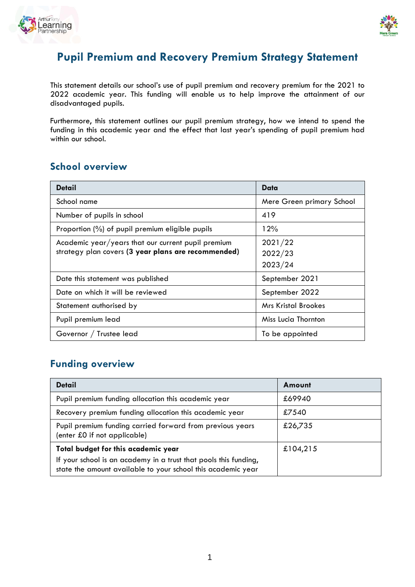



# **Pupil Premium and Recovery Premium Strategy Statement**

This statement details our school's use of pupil premium and recovery premium for the 2021 to 2022 academic year. This funding will enable us to help improve the attainment of our disadvantaged pupils.

Furthermore, this statement outlines our pupil premium strategy, how we intend to spend the funding in this academic year and the effect that last year's spending of pupil premium had within our school.

#### **School overview**

| <b>Detail</b>                                       | Data                       |
|-----------------------------------------------------|----------------------------|
| School name                                         | Mere Green primary School  |
| Number of pupils in school                          | 419                        |
| Proportion (%) of pupil premium eligible pupils     | 12%                        |
| Academic year/years that our current pupil premium  | 2021/22                    |
| strategy plan covers (3 year plans are recommended) | 2022/23                    |
|                                                     | 2023/24                    |
| Date this statement was published                   | September 2021             |
| Date on which it will be reviewed                   | September 2022             |
| Statement authorised by                             | <b>Mrs Kristal Brookes</b> |
| Pupil premium lead                                  | Miss Lucia Thornton        |
| Governor / Trustee lead                             | To be appointed            |

#### **Funding overview**

| <b>Detail</b>                                                                                                                    | Amount   |
|----------------------------------------------------------------------------------------------------------------------------------|----------|
| Pupil premium funding allocation this academic year                                                                              | £69940   |
| Recovery premium funding allocation this academic year                                                                           | £7540    |
| Pupil premium funding carried forward from previous years<br>(enter £0 if not applicable)                                        | £26,735  |
| Total budget for this academic year                                                                                              | £104,215 |
| If your school is an academy in a trust that pools this funding,<br>state the amount available to your school this academic year |          |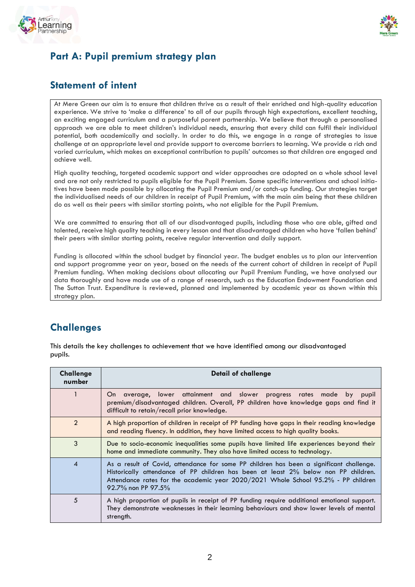



### **Part A: Pupil premium strategy plan**

#### **Statement of intent**

At Mere Green our aim is to ensure that children thrive as a result of their enriched and high-quality education experience. We strive to 'make a difference' to all of our pupils through high expectations, excellent teaching, an exciting engaged curriculum and a purposeful parent partnership. We believe that through a personalised approach we are able to meet children's individual needs, ensuring that every child can fulfil their individual potential, both academically and socially. In order to do this, we engage in a range of strategies to issue challenge at an appropriate level and provide support to overcome barriers to learning. We provide a rich and varied curriculum, which makes an exceptional contribution to pupils' outcomes so that children are engaged and achieve well.

High quality teaching, targeted academic support and wider approaches are adopted on a whole school level and are not only restricted to pupils eligible for the Pupil Premium. Some specific interventions and school initiatives have been made possible by allocating the Pupil Premium and/or catch-up funding. Our strategies target the individualised needs of our children in receipt of Pupil Premium, with the main aim being that these children do as well as their peers with similar starting points, who not eligible for the Pupil Premium.

We are committed to ensuring that all of our disadvantaged pupils, including those who are able, gifted and talented, receive high quality teaching in every lesson and that disadvantaged children who have 'fallen behind' their peers with similar starting points, receive regular intervention and daily support.

Funding is allocated within the school budget by financial year. The budget enables us to plan our intervention and support programme year on year, based on the needs of the current cohort of children in receipt of Pupil Premium funding. When making decisions about allocating our Pupil Premium Funding, we have analysed our data thoroughly and have made use of a range of research, such as the Education Endowment Foundation and The Sutton Trust. Expenditure is reviewed, planned and implemented by academic year as shown within this strategy plan.

## **Challenges**

This details the key challenges to achievement that we have identified among our disadvantaged pupils.

| <b>Challenge</b><br>number | <b>Detail of challenge</b>                                                                                                                                                                                                                                                               |  |  |
|----------------------------|------------------------------------------------------------------------------------------------------------------------------------------------------------------------------------------------------------------------------------------------------------------------------------------|--|--|
|                            | On average, lower attainment and slower progress rates made by<br>pupil<br>premium/disadvantaged children. Overall, PP children have knowledge gaps and find it<br>difficult to retain/recall prior knowledge.                                                                           |  |  |
| $\overline{2}$             | A high proportion of children in receipt of PP funding have gaps in their reading knowledge<br>and reading fluency. In addition, they have limited access to high quality books.                                                                                                         |  |  |
| 3                          | Due to socio-economic inequalities some pupils have limited life experiences beyond their<br>home and immediate community. They also have limited access to technology.                                                                                                                  |  |  |
| $\boldsymbol{4}$           | As a result of Covid, attendance for some PP children has been a significant challenge.<br>Historically attendance of PP children has been at least 2% below non PP children.<br>Attendance rates for the academic year 2020/2021 Whole School 95.2% - PP children<br>92.7% non PP 97.5% |  |  |
| 5                          | A high proportion of pupils in receipt of PP funding require additional emotional support.<br>They demonstrate weaknesses in their learning behaviours and show lower levels of mental<br>strength.                                                                                      |  |  |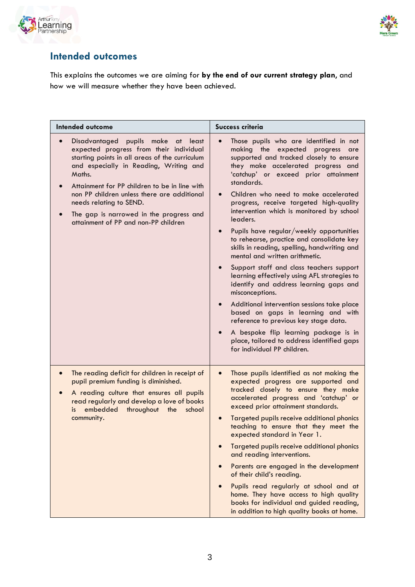



#### **Intended outcomes**

This explains the outcomes we are aiming for **by the end of our current strategy plan**, and how we will measure whether they have been achieved.

| Intended outcome                                                                                                                                                                                                                                                                                                                                                                                     | <b>Success criteria</b>                                                                                                                                                                                                                                                                                                                                                                                                                                                                                                                                                                                                                                                                                                                                                                                                                                                                                                                                                                       |
|------------------------------------------------------------------------------------------------------------------------------------------------------------------------------------------------------------------------------------------------------------------------------------------------------------------------------------------------------------------------------------------------------|-----------------------------------------------------------------------------------------------------------------------------------------------------------------------------------------------------------------------------------------------------------------------------------------------------------------------------------------------------------------------------------------------------------------------------------------------------------------------------------------------------------------------------------------------------------------------------------------------------------------------------------------------------------------------------------------------------------------------------------------------------------------------------------------------------------------------------------------------------------------------------------------------------------------------------------------------------------------------------------------------|
| Disadvantaged pupils make<br>at least<br>expected progress from their individual<br>starting points in all areas of the curriculum<br>and especially in Reading, Writing and<br>Maths.<br>Attainment for PP children to be in line with<br>non PP children unless there are additional<br>needs relating to SEND.<br>The gap is narrowed in the progress and<br>attainment of PP and non-PP children | Those pupils who are identified in not<br>$\bullet$<br>making the expected progress are<br>supported and tracked closely to ensure<br>they make accelerated progress and<br>'catchup' or exceed prior attainment<br>standards.<br>Children who need to make accelerated<br>progress, receive targeted high-quality<br>intervention which is monitored by school<br>leaders.<br>Pupils have regular/weekly opportunities<br>$\bullet$<br>to rehearse, practice and consolidate key<br>skills in reading, spelling, handwriting and<br>mental and written arithmetic.<br>Support staff and class teachers support<br>learning effectively using AFL strategies to<br>identify and address learning gaps and<br>misconceptions.<br>Additional intervention sessions take place<br>$\bullet$<br>based on gaps in learning and with<br>reference to previous key stage data.<br>A bespoke flip learning package is in<br>place, tailored to address identified gaps<br>for individual PP children. |
| The reading deficit for children in receipt of<br>pupil premium funding is diminished.<br>A reading culture that ensures all pupils<br>read regularly and develop a love of books<br>embedded<br>throughout<br>school<br>is.<br>the<br>community.                                                                                                                                                    | Those pupils identified as not making the<br>$\bullet$<br>expected progress are supported and<br>tracked closely to ensure they make<br>accelerated progress and 'catchup' or<br>exceed prior attainment standards.<br>Targeted pupils receive additional phonics<br>teaching to ensure that they meet the<br>expected standard in Year 1.<br>Targeted pupils receive additional phonics<br>and reading interventions.<br>Parents are engaged in the development<br>of their child's reading.<br>Pupils read regularly at school and at<br>home. They have access to high quality<br>books for individual and guided reading,<br>in addition to high quality books at home.                                                                                                                                                                                                                                                                                                                   |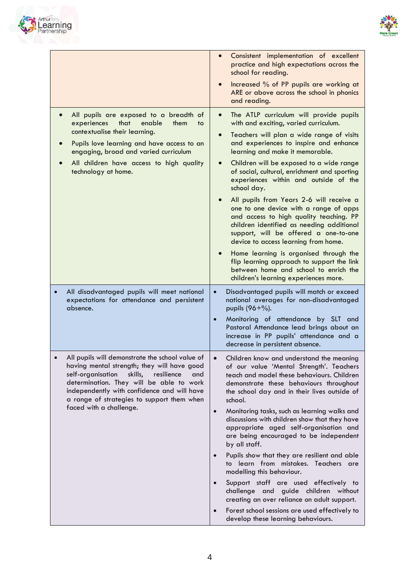



| All pupils are exposed to a breadth of<br>experiences<br>that<br>enable<br>them<br>to<br>contextualise their learning.<br>Pupils love learning and have access to an<br>engaging, broad and varied curriculum<br>All children have access to high quality<br>technology at home.                                        | Consistent implementation of excellent<br>practice and high expectations across the<br>school for reading.<br>Increased % of PP pupils are working at<br>ARE or above across the school in phonics<br>and reading.<br>The ATLP curriculum will provide pupils<br>$\bullet$<br>with and exciting, varied curriculum.<br>Teachers will plan a wide range of visits<br>and experiences to inspire and enhance<br>learning and make it memorable.<br>Children will be exposed to a wide range<br>of social, cultural, enrichment and sporting<br>experiences within and outside of the<br>school day.<br>All pupils from Years 2-6 will receive a<br>one to one device with a range of apps<br>and access to high quality teaching. PP<br>children identified as needing additional<br>support, will be offered a one-to-one<br>device to access learning from home.<br>Home learning is organised through the<br>flip learning approach to support the link<br>between home and school to enrich the |
|-------------------------------------------------------------------------------------------------------------------------------------------------------------------------------------------------------------------------------------------------------------------------------------------------------------------------|---------------------------------------------------------------------------------------------------------------------------------------------------------------------------------------------------------------------------------------------------------------------------------------------------------------------------------------------------------------------------------------------------------------------------------------------------------------------------------------------------------------------------------------------------------------------------------------------------------------------------------------------------------------------------------------------------------------------------------------------------------------------------------------------------------------------------------------------------------------------------------------------------------------------------------------------------------------------------------------------------|
| All disadvantaged pupils will meet national<br>expectations for attendance and persistent<br>absence.                                                                                                                                                                                                                   | children's learning experiences more.<br>Disadvantaged pupils will match or exceed<br>$\bullet$<br>national averages for non-disadvantaged<br>pupils (96+%).<br>Monitoring of attendance by SLT and<br>Pastoral Attendance lead brings about an<br>increase in PP pupils' attendance and a                                                                                                                                                                                                                                                                                                                                                                                                                                                                                                                                                                                                                                                                                                        |
| All pupils will demonstrate the school value of<br>having mental strength; they will have good<br>self-organisation<br>skills,<br>resilience<br>and<br>determination. They will be able to work<br>independently with confidence and will have<br>a range of strategies to support them when<br>faced with a challenge. | decrease in persistent absence.<br>Children know and understand the meaning<br>of our value 'Mental Strength'. Teachers<br>teach and model these behaviours. Children<br>demonstrate these behaviours throughout<br>the school day and in their lives outside of<br>school.<br>Monitoring tasks, such as learning walks and<br>$\bullet$<br>discussions with children show that they have<br>appropriate aged self-organisation and<br>are being encouraged to be independent<br>by all staff.<br>Pupils show that they are resilient and able<br>$\bullet$<br>to learn from mistakes. Teachers are<br>modelling this behaviour.<br>Support staff are used effectively to<br>challenge and guide children without<br>creating an over reliance on adult support.<br>Forest school sessions are used effectively to<br>$\bullet$<br>develop these learning behaviours.                                                                                                                             |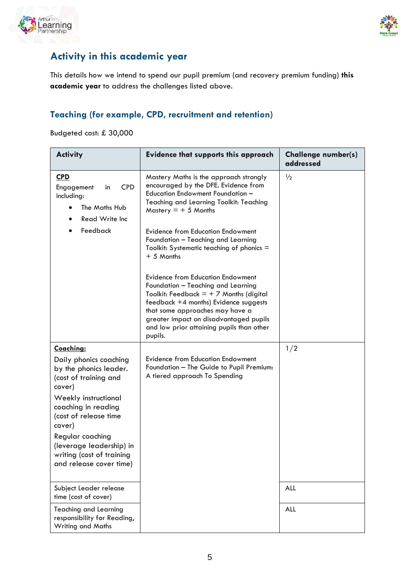



### **Activity in this academic year**

This details how we intend to spend our pupil premium (and recovery premium funding) **this academic year** to address the challenges listed above.

#### **Teaching (for example, CPD, recruitment and retention)**

Budgeted cost: £ 30,000

| <b>Activity</b>                                                                                                                                                                                                                                                                            | <b>Evidence that supports this approach</b>                                                                                                                                                                                                                                                                                                                                                                                                                                                                                                                                                                                                               | <b>Challenge number(s)</b><br>addressed |
|--------------------------------------------------------------------------------------------------------------------------------------------------------------------------------------------------------------------------------------------------------------------------------------------|-----------------------------------------------------------------------------------------------------------------------------------------------------------------------------------------------------------------------------------------------------------------------------------------------------------------------------------------------------------------------------------------------------------------------------------------------------------------------------------------------------------------------------------------------------------------------------------------------------------------------------------------------------------|-----------------------------------------|
| <b>CPD</b><br><b>CPD</b><br>Engagement<br>in<br>including:<br>The Maths Hub<br>Read Write Inc<br>Feedback                                                                                                                                                                                  | Mastery Maths is the approach strongly<br>encouraged by the DFE. Evidence from<br><b>Education Endowment Foundation -</b><br>Teaching and Learning Toolkit: Teaching<br>Mastery $= + 5$ Months<br><b>Evidence from Education Endowment</b><br>Foundation - Teaching and Learning<br>Toolkit: Systematic teaching of phonics =<br>$+5$ Months<br><b>Evidence from Education Endowment</b><br>Foundation - Teaching and Learning<br>Toolkit: Feedback $= + 7$ Months (digital<br>feedback +4 months) Evidence suggests<br>that some approaches may have a<br>greater impact on disadvantaged pupils<br>and low prior attaining pupils than other<br>pupils. | $\frac{1}{2}$                           |
| Coaching:<br>Daily phonics coaching<br>by the phonics leader.<br>(cost of training and<br>cover)<br>Weekly instructional<br>coaching in reading<br>(cost of release time<br>cover)<br>Regular coaching<br>(leverage leadership) in<br>writing (cost of training<br>and release cover time) | <b>Evidence from Education Endowment</b><br>Foundation - The Guide to Pupil Premium:<br>A tiered approach To Spending                                                                                                                                                                                                                                                                                                                                                                                                                                                                                                                                     | 1/2                                     |
| Subject Leader release<br>time (cost of cover)                                                                                                                                                                                                                                             |                                                                                                                                                                                                                                                                                                                                                                                                                                                                                                                                                                                                                                                           | ALL                                     |
| <b>Teaching and Learning</b><br>responsibility for Reading,<br>Writing and Maths                                                                                                                                                                                                           |                                                                                                                                                                                                                                                                                                                                                                                                                                                                                                                                                                                                                                                           | ALL                                     |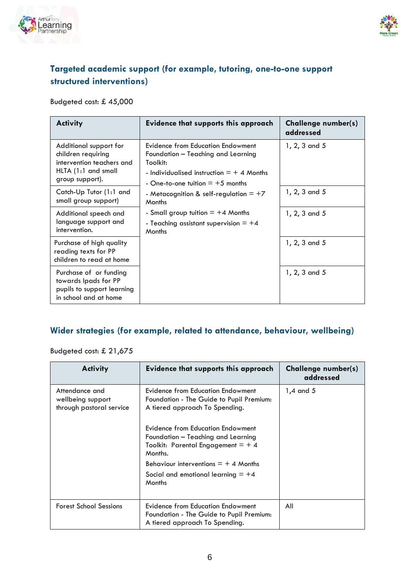



#### **Targeted academic support (for example, tutoring, one-to-one support structured interventions)**

Budgeted cost: £ 45,000

| <b>Activity</b>                                                                                                       | Evidence that supports this approach                                                                                                                                           | Challenge number(s)<br>addressed |
|-----------------------------------------------------------------------------------------------------------------------|--------------------------------------------------------------------------------------------------------------------------------------------------------------------------------|----------------------------------|
| Additional support for<br>children requiring<br>intervention teachers and<br>$HLTA$ (1:1 and small<br>group support). | <b>Evidence from Education Endowment</b><br>Foundation – Teaching and Learning<br>Toolkit:<br>- Individualised instruction $= +4$ Months<br>- One-to-one tuition $= +5$ months | 1, 2, 3 and 5                    |
| Catch-Up Tutor (1:1 and<br>small group support)                                                                       | - Metacognition & self-regulation $= +7$<br><b>Months</b>                                                                                                                      | 1, 2, 3 and 5                    |
| Additional speech and<br>language support and<br>intervention.                                                        | - Small group tuition $= +4$ Months<br>- Teaching assistant supervision $= +4$<br><b>Months</b>                                                                                | 1, 2, 3 and 5                    |
| Purchase of high quality<br>reading texts for PP<br>children to read at home                                          |                                                                                                                                                                                | 1, 2, 3 and 5                    |
| Purchase of or funding<br>towards Ipads for PP<br>pupils to support learning<br>in school and at home                 |                                                                                                                                                                                | 1, 2, 3 and 5                    |

#### **Wider strategies (for example, related to attendance, behaviour, wellbeing)**

Budgeted cost: £ 21,675

| <b>Activity</b>                                                 | <b>Evidence that supports this approach</b>                                                                                                                                                                                                  | <b>Challenge number(s)</b><br>addressed |
|-----------------------------------------------------------------|----------------------------------------------------------------------------------------------------------------------------------------------------------------------------------------------------------------------------------------------|-----------------------------------------|
| Attendance and<br>wellbeing support<br>through pastoral service | Evidence from Education Endowment<br>Foundation - The Guide to Pupil Premium:<br>A tiered approach To Spending.<br>Evidence from Education Endowment<br>Foundation – Teaching and Learning<br>Toolkit: Parental Engagement $= +4$<br>Months. | $1,4$ and $5$                           |
|                                                                 | Behaviour interventions $= + 4$ Months<br>Social and emotional learning $= +4$                                                                                                                                                               |                                         |
|                                                                 | <b>Months</b>                                                                                                                                                                                                                                |                                         |
| <b>Forest School Sessions</b>                                   | Evidence from Education Endowment<br>Foundation - The Guide to Pupil Premium:<br>A tiered approach To Spending.                                                                                                                              | All                                     |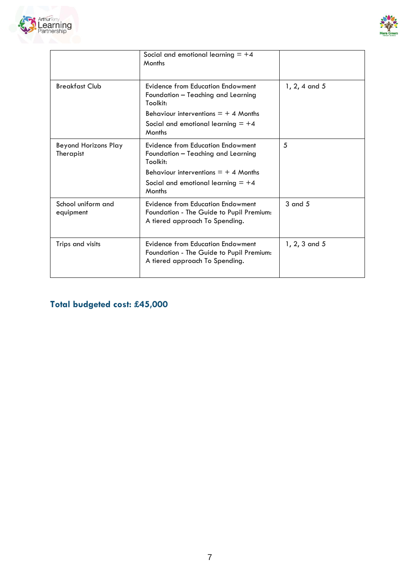



|                                          | Social and emotional learning $= +4$<br>Months                                                                  |                 |
|------------------------------------------|-----------------------------------------------------------------------------------------------------------------|-----------------|
| <b>Breakfast Club</b>                    | Evidence from Education Endowment<br>Foundation – Teaching and Learning<br>Toolkit:                             | $1, 2, 4$ and 5 |
|                                          | Behaviour interventions $= + 4$ Months                                                                          |                 |
|                                          | Social and emotional learning $= +4$<br><b>Months</b>                                                           |                 |
| <b>Beyond Horizons Play</b><br>Therapist | Evidence from Education Endowment<br>Foundation - Teaching and Learning<br>Toolkit:                             | 5               |
|                                          | Behaviour interventions $= + 4$ Months                                                                          |                 |
|                                          | Social and emotional learning $= +4$<br>Months                                                                  |                 |
| School uniform and<br>equipment          | Evidence from Education Endowment<br>Foundation - The Guide to Pupil Premium:<br>A tiered approach To Spending. | $3$ and $5$     |
| Trips and visits                         | Evidence from Education Endowment<br>Foundation - The Guide to Pupil Premium:<br>A tiered approach To Spending. | 1, 2, 3 and 5   |

# **Total budgeted cost: £45,000**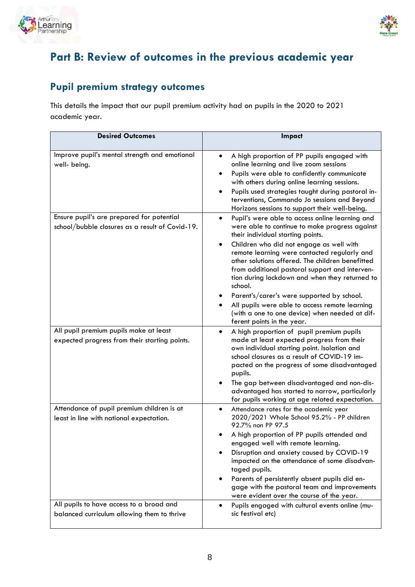



# **Part B: Review of outcomes in the previous academic year**

#### **Pupil premium strategy outcomes**

This details the impact that our pupil premium activity had on pupils in the 2020 to 2021 academic year.

| <b>Desired Outcomes</b>                                                                      | Impact                                                                                                                                                                                                                                                                                                                                                                                                                                                                                                                                                                                                  |
|----------------------------------------------------------------------------------------------|---------------------------------------------------------------------------------------------------------------------------------------------------------------------------------------------------------------------------------------------------------------------------------------------------------------------------------------------------------------------------------------------------------------------------------------------------------------------------------------------------------------------------------------------------------------------------------------------------------|
| Improve pupil's mental strength and emotional<br>well- being.                                | A high proportion of PP pupils engaged with<br>$\bullet$<br>online learning and live zoom sessions<br>Pupils were able to confidently communicate<br>$\bullet$<br>with others during online learning sessions.<br>Pupils used strategies taught during pastoral in-<br>$\bullet$<br>terventions, Commando Jo sessions and Beyond<br>Horizons sessions to support their well-being.                                                                                                                                                                                                                      |
| Ensure pupil's are prepared for potential<br>school/bubble closures as a result of Covid-19. | Pupil's were able to access online learning and<br>$\bullet$<br>were able to continue to make progress against<br>their individual starting points.<br>Children who did not engage as well with<br>٠<br>remote learning were contacted regularly and<br>other solutions offered. The children benefitted<br>from additional pastoral support and interven-<br>tion during lockdown and when they returned to<br>school.<br>Parent's/carer's were supported by school.<br>All pupils were able to access remote learning<br>(with a one to one device) when needed at dif-<br>ferent points in the year. |
| All pupil premium pupils make at least<br>expected progress from their starting points.      | A high proportion of pupil premium pupils<br>$\bullet$<br>made at least expected progress from their<br>own individual starting point. Isolation and<br>school closures as a result of COVID-19 im-<br>pacted on the progress of some disadvantaged<br>pupils.<br>The gap between disadvantaged and non-dis-<br>advantaged has started to narrow, particularly<br>for pupils working at age related expectation.                                                                                                                                                                                        |
| Attendance of pupil premium children is at<br>least in line with national expectation.       | Attendance rates for the academic year<br>$\bullet$<br>2020/2021 Whole School 95.2% - PP children<br>92.7% non PP 97.5<br>A high proportion of PP pupils attended and<br>engaged well with remote learning.<br>Disruption and anxiety caused by COVID-19<br>impacted on the attendance of some disadvan-<br>taged pupils.<br>Parents of persistently absent pupils did en-<br>gage with the pastoral team and improvements<br>were evident over the course of the year.                                                                                                                                 |
| All pupils to have access to a broad and<br>balanced curriculum allowing them to thrive      | Pupils engaged with cultural events online (mu-<br>$\bullet$<br>sic festival etc)                                                                                                                                                                                                                                                                                                                                                                                                                                                                                                                       |